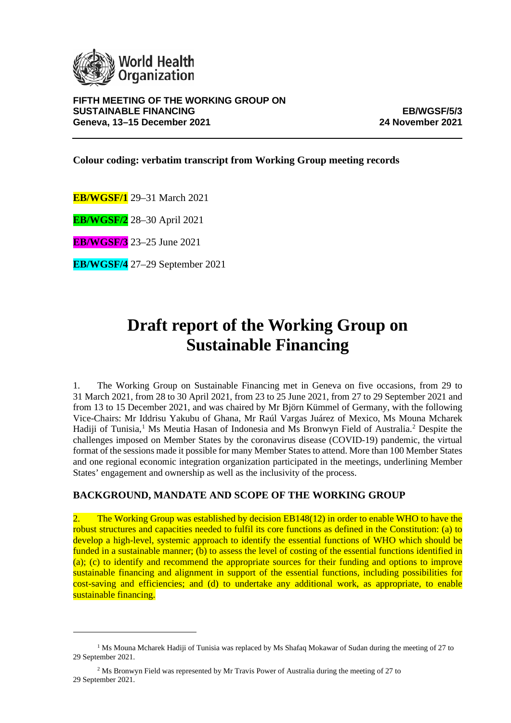

**Colour coding: verbatim transcript from Working Group meeting records**

**EB/WGSF/1** 29–31 March 2021

**EB/WGSF/2** 28–30 April 2021

**EB/WGSF/3** 23–25 June 2021

**EB/WGSF/4** 27–29 September 2021

# **Draft report of the Working Group on Sustainable Financing**

1. The Working Group on Sustainable Financing met in Geneva on five occasions, from 29 to 31 March 2021, from 28 to 30 April 2021, from 23 to 25 June 2021, from 27 to 29 September 2021 and from 13 to 15 December 2021, and was chaired by Mr Björn Kümmel of Germany, with the following Vice-Chairs: Mr Iddrisu Yakubu of Ghana, Mr Raúl Vargas Juárez of Mexico, Ms Mouna Mcharek Hadiji of Tunisia,<sup>[1](#page-0-0)</sup> Ms Meutia Hasan of Indonesia and Ms Bronwyn Field of Australia.<sup>[2](#page-0-1)</sup> Despite the challenges imposed on Member States by the coronavirus disease (COVID-19) pandemic, the virtual format of the sessions made it possible for many Member States to attend. More than 100 Member States and one regional economic integration organization participated in the meetings, underlining Member States' engagement and ownership as well as the inclusivity of the process.

# **BACKGROUND, MANDATE AND SCOPE OF THE WORKING GROUP**

2. The Working Group was established by decision EB148(12) in order to enable WHO to have the robust structures and capacities needed to fulfil its core functions as defined in the Constitution: (a) to develop a high-level, systemic approach to identify the essential functions of WHO which should be funded in a sustainable manner; (b) to assess the level of costing of the essential functions identified in (a); (c) to identify and recommend the appropriate sources for their funding and options to improve sustainable financing and alignment in support of the essential functions, including possibilities for cost-saving and efficiencies; and (d) to undertake any additional work, as appropriate, to enable sustainable financing.

<span id="page-0-0"></span><sup>&</sup>lt;sup>1</sup> Ms Mouna Mcharek Hadiji of Tunisia was replaced by Ms Shafaq Mokawar of Sudan during the meeting of 27 to 29 September 2021.

<span id="page-0-1"></span><sup>2</sup> Ms Bronwyn Field was represented by Mr Travis Power of Australia during the meeting of 27 to 29 September 2021.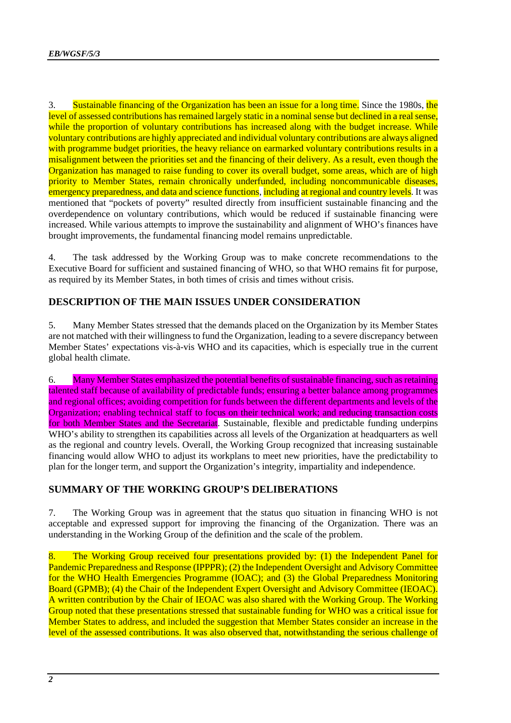3. Sustainable financing of the Organization has been an issue for a long time. Since the 1980s, the level of assessed contributions has remained largely static in a nominal sense but declined in a real sense, while the proportion of voluntary contributions has increased along with the budget increase. While voluntary contributions are highly appreciated and individual voluntary contributions are always aligned with programme budget priorities, the heavy reliance on earmarked voluntary contributions results in a misalignment between the priorities set and the financing of their delivery. As a result, even though the Organization has managed to raise funding to cover its overall budget, some areas, which are of high priority to Member States, remain chronically underfunded, including noncommunicable diseases, emergency preparedness, and data and science functions, including at regional and country levels. It was mentioned that "pockets of poverty" resulted directly from insufficient sustainable financing and the overdependence on voluntary contributions, which would be reduced if sustainable financing were increased. While various attempts to improve the sustainability and alignment of WHO's finances have brought improvements, the fundamental financing model remains unpredictable.

4. The task addressed by the Working Group was to make concrete recommendations to the Executive Board for sufficient and sustained financing of WHO, so that WHO remains fit for purpose, as required by its Member States, in both times of crisis and times without crisis.

# **DESCRIPTION OF THE MAIN ISSUES UNDER CONSIDERATION**

5. Many Member States stressed that the demands placed on the Organization by its Member States are not matched with their willingness to fund the Organization, leading to a severe discrepancy between Member States' expectations vis-à-vis WHO and its capacities, which is especially true in the current global health climate.

6. Many Member States emphasized the potential benefits of sustainable financing, such as retaining talented staff because of availability of predictable funds; ensuring a better balance among programmes and regional offices; avoiding competition for funds between the different departments and levels of the Organization; enabling technical staff to focus on their technical work; and reducing transaction costs for both Member States and the Secretariat. Sustainable, flexible and predictable funding underpins WHO's ability to strengthen its capabilities across all levels of the Organization at headquarters as well as the regional and country levels. Overall, the Working Group recognized that increasing sustainable financing would allow WHO to adjust its workplans to meet new priorities, have the predictability to plan for the longer term, and support the Organization's integrity, impartiality and independence.

## **SUMMARY OF THE WORKING GROUP'S DELIBERATIONS**

7. The Working Group was in agreement that the status quo situation in financing WHO is not acceptable and expressed support for improving the financing of the Organization. There was an understanding in the Working Group of the definition and the scale of the problem.

8. The Working Group received four presentations provided by: (1) the Independent Panel for Pandemic Preparedness and Response (IPPPR); (2) the Independent Oversight and Advisory Committee for the WHO Health Emergencies Programme (IOAC); and (3) the Global Preparedness Monitoring Board (GPMB); (4) the Chair of the Independent Expert Oversight and Advisory Committee (IEOAC). A written contribution by the Chair of IEOAC was also shared with the Working Group. The Working Group noted that these presentations stressed that sustainable funding for WHO was a critical issue for Member States to address, and included the suggestion that Member States consider an increase in the level of the assessed contributions. It was also observed that, notwithstanding the serious challenge of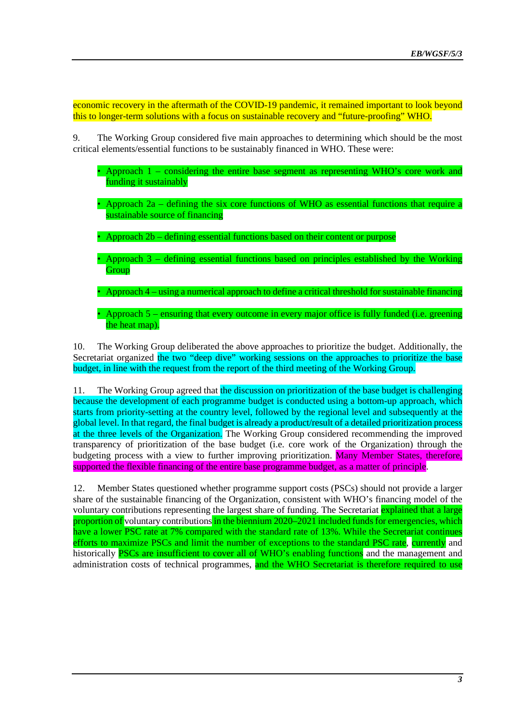economic recovery in the aftermath of the COVID-19 pandemic, it remained important to look beyond this to longer-term solutions with a focus on sustainable recovery and "future-proofing" WHO.

9. The Working Group considered five main approaches to determining which should be the most critical elements/essential functions to be sustainably financed in WHO. These were:

- Approach 1 considering the entire base segment as representing WHO's core work and funding it sustainably
- Approach 2a defining the six core functions of WHO as essential functions that require a sustainable source of financing
- Approach 2b defining essential functions based on their content or purpose
- Approach 3 defining essential functions based on principles established by the Working **Group**
- Approach 4 using a numerical approach to define a critical threshold for sustainable financing
- Approach 5 ensuring that every outcome in every major office is fully funded (i.e. greening the heat map).

10. The Working Group deliberated the above approaches to prioritize the budget. Additionally, the Secretariat organized the two "deep dive" working sessions on the approaches to prioritize the base budget, in line with the request from the report of the third meeting of the Working Group.

11. The Working Group agreed that the discussion on prioritization of the base budget is challenging because the development of each programme budget is conducted using a bottom-up approach, which starts from priority-setting at the country level, followed by the regional level and subsequently at the global level. In that regard, the final budget is already a product/result of a detailed prioritization process at the three levels of the Organization. The Working Group considered recommending the improved transparency of prioritization of the base budget (i.e. core work of the Organization) through the budgeting process with a view to further improving prioritization. Many Member States, therefore, supported the flexible financing of the entire base programme budget, as a matter of principle.

12. Member States questioned whether programme support costs (PSCs) should not provide a larger share of the sustainable financing of the Organization, consistent with WHO's financing model of the voluntary contributions representing the largest share of funding. The Secretariat explained that a large proportion of voluntary contributions in the biennium 2020–2021 included funds for emergencies, which have a lower PSC rate at 7% compared with the standard rate of 13%. While the Secretariat continues efforts to maximize PSCs and limit the number of exceptions to the standard PSC rate, currently and historically **PSCs** are insufficient to cover all of WHO's enabling functions and the management and administration costs of technical programmes, and the WHO Secretariat is therefore required to use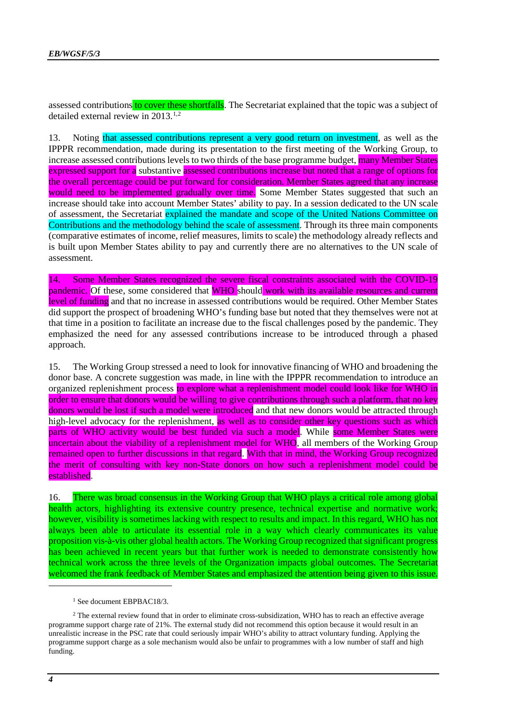assessed contributions to cover these shortfalls. The Secretariat explained that the topic was a subject of detailed external review in  $2013^{1,2}$  $2013^{1,2}$  $2013^{1,2}$  $2013^{1,2}$  $2013^{1,2}$ 

13. Noting that assessed contributions represent a very good return on investment, as well as the IPPPR recommendation, made during its presentation to the first meeting of the Working Group, to increase assessed contributions levels to two thirds of the base programme budget, many Member States expressed support for a substantive assessed contributions increase but noted that a range of options for the overall percentage could be put forward for consideration. Member States agreed that any increase would need to be implemented gradually over time. Some Member States suggested that such an increase should take into account Member States' ability to pay. In a session dedicated to the UN scale of assessment, the Secretariat explained the mandate and scope of the United Nations Committee on Contributions and the methodology behind the scale of assessment. Through its three main components (comparative estimates of income, relief measures, limits to scale) the methodology already reflects and is built upon Member States ability to pay and currently there are no alternatives to the UN scale of assessment.

14. Some Member States recognized the severe fiscal constraints associated with the COVID-19 pandemic. Of these, some considered that WHO should work with its available resources and current level of funding and that no increase in assessed contributions would be required. Other Member States did support the prospect of broadening WHO's funding base but noted that they themselves were not at that time in a position to facilitate an increase due to the fiscal challenges posed by the pandemic. They emphasized the need for any assessed contributions increase to be introduced through a phased approach.

15. The Working Group stressed a need to look for innovative financing of WHO and broadening the donor base. A concrete suggestion was made, in line with the IPPPR recommendation to introduce an organized replenishment process to explore what a replenishment model could look like for WHO in order to ensure that donors would be willing to give contributions through such a platform, that no key donors would be lost if such a model were introduced and that new donors would be attracted through high-level advocacy for the replenishment, as well as to consider other key questions such as which parts of WHO activity would be best funded via such a model. While some Member States were uncertain about the viability of a replenishment model for WHO, all members of the Working Group remained open to further discussions in that regard. With that in mind, the Working Group recognized the merit of consulting with key non-State donors on how such a replenishment model could be established.

16. There was broad consensus in the Working Group that WHO plays a critical role among global health actors, highlighting its extensive country presence, technical expertise and normative work; however, visibility is sometimes lacking with respect to results and impact. In this regard, WHO has not always been able to articulate its essential role in a way which clearly communicates its value proposition vis-à-vis other global health actors. The Working Group recognized that significant progress has been achieved in recent years but that further work is needed to demonstrate consistently how technical work across the three levels of the Organization impacts global outcomes. The Secretariat welcomed the frank feedback of Member States and emphasized the attention being given to this issue.

<sup>1</sup> See document EBPBAC18/3.

<span id="page-3-1"></span><span id="page-3-0"></span><sup>&</sup>lt;sup>2</sup> The external review found that in order to eliminate cross-subsidization, WHO has to reach an effective average programme support charge rate of 21%. The external study did not recommend this option because it would result in an unrealistic increase in the PSC rate that could seriously impair WHO's ability to attract voluntary funding. Applying the programme support charge as a sole mechanism would also be unfair to programmes with a low number of staff and high funding.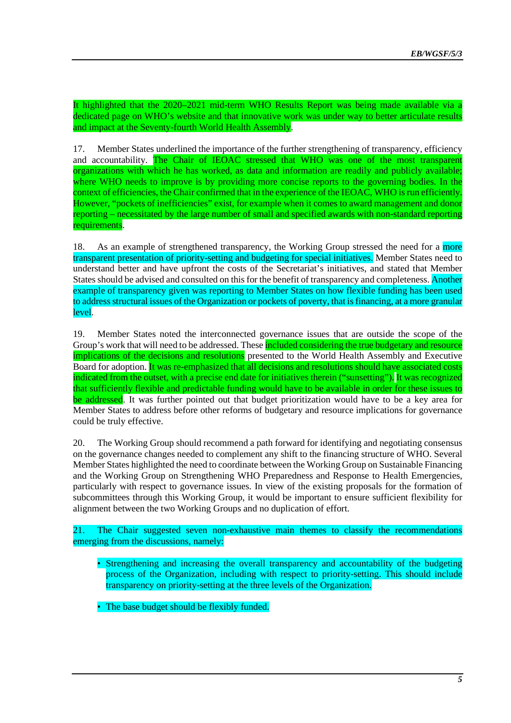It highlighted that the 2020–2021 mid-term WHO Results Report was being made available via a dedicated page on WHO's website and that innovative work was under way to better articulate results and impact at the Seventy-fourth World Health Assembly.

17. Member States underlined the importance of the further strengthening of transparency, efficiency and accountability. The Chair of IEOAC stressed that WHO was one of the most transparent organizations with which he has worked, as data and information are readily and publicly available; where WHO needs to improve is by providing more concise reports to the governing bodies. In the context of efficiencies, the Chair confirmed that in the experience of the IEOAC, WHO is run efficiently. However, "pockets of inefficiencies" exist, for example when it comes to award management and donor reporting – necessitated by the large number of small and specified awards with non-standard reporting requirements.

18. As an example of strengthened transparency, the Working Group stressed the need for a more transparent presentation of priority-setting and budgeting for special initiatives. Member States need to understand better and have upfront the costs of the Secretariat's initiatives, and stated that Member States should be advised and consulted on this for the benefit of transparency and completeness. Another example of transparency given was reporting to Member States on how flexible funding has been used to address structural issues of the Organization or pockets of poverty, that is financing, at a more granular level.

19. Member States noted the interconnected governance issues that are outside the scope of the Group's work that will need to be addressed. These **included considering the true budgetary and resource** implications of the decisions and resolutions presented to the World Health Assembly and Executive Board for adoption. It was re-emphasized that all decisions and resolutions should have associated costs indicated from the outset, with a precise end date for initiatives therein ("sunsetting"). It was recognized that sufficiently flexible and predictable funding would have to be available in order for these issues to be addressed. It was further pointed out that budget prioritization would have to be a key area for Member States to address before other reforms of budgetary and resource implications for governance could be truly effective.

20. The Working Group should recommend a path forward for identifying and negotiating consensus on the governance changes needed to complement any shift to the financing structure of WHO. Several Member States highlighted the need to coordinate between the Working Group on Sustainable Financing and the Working Group on Strengthening WHO Preparedness and Response to Health Emergencies, particularly with respect to governance issues. In view of the existing proposals for the formation of subcommittees through this Working Group, it would be important to ensure sufficient flexibility for alignment between the two Working Groups and no duplication of effort.

21. The Chair suggested seven non-exhaustive main themes to classify the recommendations emerging from the discussions, namely:

- Strengthening and increasing the overall transparency and accountability of the budgeting process of the Organization, including with respect to priority-setting. This should include transparency on priority-setting at the three levels of the Organization.
- The base budget should be flexibly funded.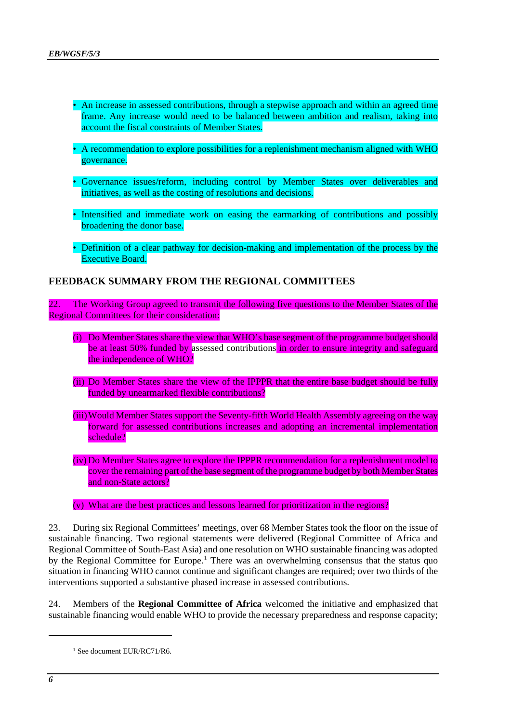- An increase in assessed contributions, through a stepwise approach and within an agreed time frame. Any increase would need to be balanced between ambition and realism, taking into account the fiscal constraints of Member States.
- A recommendation to explore possibilities for a replenishment mechanism aligned with WHO governance.
- Governance issues/reform, including control by Member States over deliverables and initiatives, as well as the costing of resolutions and decisions.
- Intensified and immediate work on easing the earmarking of contributions and possibly broadening the donor base.
- Definition of a clear pathway for decision-making and implementation of the process by the Executive Board.

#### **FEEDBACK SUMMARY FROM THE REGIONAL COMMITTEES**

22. The Working Group agreed to transmit the following five questions to the Member States of the Regional Committees for their consideration:

- (i) Do Member States share the view that WHO's base segment of the programme budget should be at least 50% funded by assessed contributions in order to ensure integrity and safeguard the independence of WHO?
- (ii) Do Member States share the view of the IPPPR that the entire base budget should be fully funded by unearmarked flexible contributions?
- (iii) Would Member States support the Seventy-fifth World Health Assembly agreeing on the way forward for assessed contributions increases and adopting an incremental implementation schedule?
- (iv) Do Member States agree to explore the IPPPR recommendation for a replenishment model to cover the remaining part of the base segment of the programme budget by both Member States and non-State actors?
- (v) What are the best practices and lessons learned for prioritization in the regions?

23. During six Regional Committees' meetings, over 68 Member States took the floor on the issue of sustainable financing. Two regional statements were delivered (Regional Committee of Africa and Regional Committee of South-East Asia) and one resolution on WHO sustainable financing was adopted by the Regional Committee for Europe.<sup>[1](#page-5-0)</sup> There was an overwhelming consensus that the status quo situation in financing WHO cannot continue and significant changes are required; over two thirds of the interventions supported a substantive phased increase in assessed contributions.

<span id="page-5-0"></span>24. Members of the **Regional Committee of Africa** welcomed the initiative and emphasized that sustainable financing would enable WHO to provide the necessary preparedness and response capacity;

<sup>&</sup>lt;sup>1</sup> See document EUR/RC71/R6.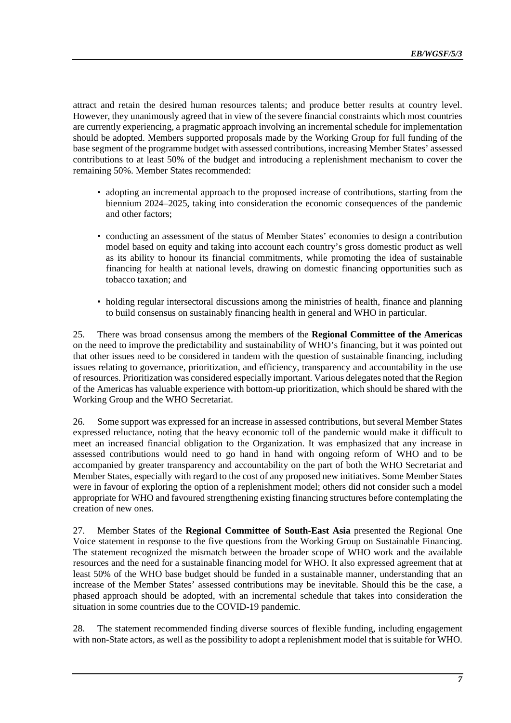attract and retain the desired human resources talents; and produce better results at country level. However, they unanimously agreed that in view of the severe financial constraints which most countries are currently experiencing, a pragmatic approach involving an incremental schedule for implementation should be adopted. Members supported proposals made by the Working Group for full funding of the base segment of the programme budget with assessed contributions, increasing Member States' assessed contributions to at least 50% of the budget and introducing a replenishment mechanism to cover the remaining 50%. Member States recommended:

- adopting an incremental approach to the proposed increase of contributions, starting from the biennium 2024–2025, taking into consideration the economic consequences of the pandemic and other factors;
- conducting an assessment of the status of Member States' economies to design a contribution model based on equity and taking into account each country's gross domestic product as well as its ability to honour its financial commitments, while promoting the idea of sustainable financing for health at national levels, drawing on domestic financing opportunities such as tobacco taxation; and
- holding regular intersectoral discussions among the ministries of health, finance and planning to build consensus on sustainably financing health in general and WHO in particular.

25. There was broad consensus among the members of the **Regional Committee of the Americas** on the need to improve the predictability and sustainability of WHO's financing, but it was pointed out that other issues need to be considered in tandem with the question of sustainable financing, including issues relating to governance, prioritization, and efficiency, transparency and accountability in the use of resources. Prioritization was considered especially important. Various delegates noted that the Region of the Americas has valuable experience with bottom-up prioritization, which should be shared with the Working Group and the WHO Secretariat.

26. Some support was expressed for an increase in assessed contributions, but several Member States expressed reluctance, noting that the heavy economic toll of the pandemic would make it difficult to meet an increased financial obligation to the Organization. It was emphasized that any increase in assessed contributions would need to go hand in hand with ongoing reform of WHO and to be accompanied by greater transparency and accountability on the part of both the WHO Secretariat and Member States, especially with regard to the cost of any proposed new initiatives. Some Member States were in favour of exploring the option of a replenishment model; others did not consider such a model appropriate for WHO and favoured strengthening existing financing structures before contemplating the creation of new ones.

27. Member States of the **Regional Committee of South-East Asia** presented the Regional One Voice statement in response to the five questions from the Working Group on Sustainable Financing. The statement recognized the mismatch between the broader scope of WHO work and the available resources and the need for a sustainable financing model for WHO. It also expressed agreement that at least 50% of the WHO base budget should be funded in a sustainable manner, understanding that an increase of the Member States' assessed contributions may be inevitable. Should this be the case, a phased approach should be adopted, with an incremental schedule that takes into consideration the situation in some countries due to the COVID-19 pandemic.

28. The statement recommended finding diverse sources of flexible funding, including engagement with non-State actors, as well as the possibility to adopt a replenishment model that is suitable for WHO.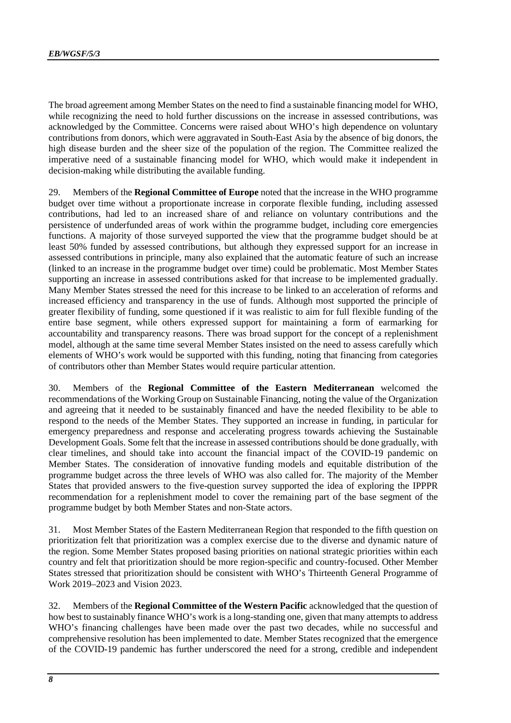The broad agreement among Member States on the need to find a sustainable financing model for WHO, while recognizing the need to hold further discussions on the increase in assessed contributions, was acknowledged by the Committee. Concerns were raised about WHO's high dependence on voluntary contributions from donors, which were aggravated in South-East Asia by the absence of big donors, the high disease burden and the sheer size of the population of the region. The Committee realized the imperative need of a sustainable financing model for WHO, which would make it independent in decision-making while distributing the available funding.

29. Members of the **Regional Committee of Europe** noted that the increase in the WHO programme budget over time without a proportionate increase in corporate flexible funding, including assessed contributions, had led to an increased share of and reliance on voluntary contributions and the persistence of underfunded areas of work within the programme budget, including core emergencies functions. A majority of those surveyed supported the view that the programme budget should be at least 50% funded by assessed contributions, but although they expressed support for an increase in assessed contributions in principle, many also explained that the automatic feature of such an increase (linked to an increase in the programme budget over time) could be problematic. Most Member States supporting an increase in assessed contributions asked for that increase to be implemented gradually. Many Member States stressed the need for this increase to be linked to an acceleration of reforms and increased efficiency and transparency in the use of funds. Although most supported the principle of greater flexibility of funding, some questioned if it was realistic to aim for full flexible funding of the entire base segment, while others expressed support for maintaining a form of earmarking for accountability and transparency reasons. There was broad support for the concept of a replenishment model, although at the same time several Member States insisted on the need to assess carefully which elements of WHO's work would be supported with this funding, noting that financing from categories of contributors other than Member States would require particular attention.

30. Members of the **Regional Committee of the Eastern Mediterranean** welcomed the recommendations of the Working Group on Sustainable Financing, noting the value of the Organization and agreeing that it needed to be sustainably financed and have the needed flexibility to be able to respond to the needs of the Member States. They supported an increase in funding, in particular for emergency preparedness and response and accelerating progress towards achieving the Sustainable Development Goals. Some felt that the increase in assessed contributions should be done gradually, with clear timelines, and should take into account the financial impact of the COVID-19 pandemic on Member States. The consideration of innovative funding models and equitable distribution of the programme budget across the three levels of WHO was also called for. The majority of the Member States that provided answers to the five-question survey supported the idea of exploring the IPPPR recommendation for a replenishment model to cover the remaining part of the base segment of the programme budget by both Member States and non-State actors.

31. Most Member States of the Eastern Mediterranean Region that responded to the fifth question on prioritization felt that prioritization was a complex exercise due to the diverse and dynamic nature of the region. Some Member States proposed basing priorities on national strategic priorities within each country and felt that prioritization should be more region-specific and country-focused. Other Member States stressed that prioritization should be consistent with WHO's Thirteenth General Programme of Work 2019–2023 and Vision 2023.

32. Members of the **Regional Committee of the Western Pacific** acknowledged that the question of how best to sustainably finance WHO's work is a long-standing one, given that many attempts to address WHO's financing challenges have been made over the past two decades, while no successful and comprehensive resolution has been implemented to date. Member States recognized that the emergence of the COVID-19 pandemic has further underscored the need for a strong, credible and independent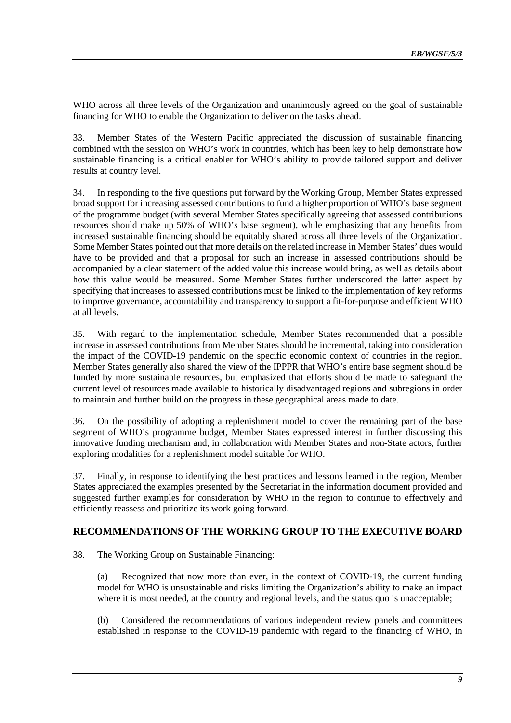WHO across all three levels of the Organization and unanimously agreed on the goal of sustainable financing for WHO to enable the Organization to deliver on the tasks ahead.

33. Member States of the Western Pacific appreciated the discussion of sustainable financing combined with the session on WHO's work in countries, which has been key to help demonstrate how sustainable financing is a critical enabler for WHO's ability to provide tailored support and deliver results at country level.

34. In responding to the five questions put forward by the Working Group, Member States expressed broad support for increasing assessed contributions to fund a higher proportion of WHO's base segment of the programme budget (with several Member States specifically agreeing that assessed contributions resources should make up 50% of WHO's base segment), while emphasizing that any benefits from increased sustainable financing should be equitably shared across all three levels of the Organization. Some Member States pointed out that more details on the related increase in Member States' dues would have to be provided and that a proposal for such an increase in assessed contributions should be accompanied by a clear statement of the added value this increase would bring, as well as details about how this value would be measured. Some Member States further underscored the latter aspect by specifying that increases to assessed contributions must be linked to the implementation of key reforms to improve governance, accountability and transparency to support a fit-for-purpose and efficient WHO at all levels.

35. With regard to the implementation schedule, Member States recommended that a possible increase in assessed contributions from Member States should be incremental, taking into consideration the impact of the COVID-19 pandemic on the specific economic context of countries in the region. Member States generally also shared the view of the IPPPR that WHO's entire base segment should be funded by more sustainable resources, but emphasized that efforts should be made to safeguard the current level of resources made available to historically disadvantaged regions and subregions in order to maintain and further build on the progress in these geographical areas made to date.

36. On the possibility of adopting a replenishment model to cover the remaining part of the base segment of WHO's programme budget, Member States expressed interest in further discussing this innovative funding mechanism and, in collaboration with Member States and non-State actors, further exploring modalities for a replenishment model suitable for WHO.

37. Finally, in response to identifying the best practices and lessons learned in the region, Member States appreciated the examples presented by the Secretariat in the information document provided and suggested further examples for consideration by WHO in the region to continue to effectively and efficiently reassess and prioritize its work going forward.

## **RECOMMENDATIONS OF THE WORKING GROUP TO THE EXECUTIVE BOARD**

38. The Working Group on Sustainable Financing:

(a) Recognized that now more than ever, in the context of COVID-19, the current funding model for WHO is unsustainable and risks limiting the Organization's ability to make an impact where it is most needed, at the country and regional levels, and the status quo is unacceptable;

(b) Considered the recommendations of various independent review panels and committees established in response to the COVID-19 pandemic with regard to the financing of WHO, in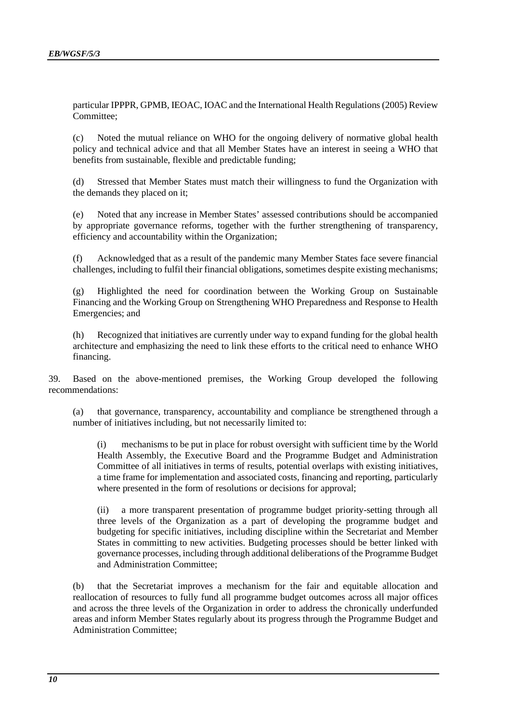particular IPPPR, GPMB, IEOAC, IOAC and the International Health Regulations (2005) Review Committee;

(c) Noted the mutual reliance on WHO for the ongoing delivery of normative global health policy and technical advice and that all Member States have an interest in seeing a WHO that benefits from sustainable, flexible and predictable funding;

(d) Stressed that Member States must match their willingness to fund the Organization with the demands they placed on it;

(e) Noted that any increase in Member States' assessed contributions should be accompanied by appropriate governance reforms, together with the further strengthening of transparency, efficiency and accountability within the Organization;

(f) Acknowledged that as a result of the pandemic many Member States face severe financial challenges, including to fulfil their financial obligations, sometimes despite existing mechanisms;

(g) Highlighted the need for coordination between the Working Group on Sustainable Financing and the Working Group on Strengthening WHO Preparedness and Response to Health Emergencies; and

(h) Recognized that initiatives are currently under way to expand funding for the global health architecture and emphasizing the need to link these efforts to the critical need to enhance WHO financing.

39. Based on the above-mentioned premises, the Working Group developed the following recommendations:

(a) that governance, transparency, accountability and compliance be strengthened through a number of initiatives including, but not necessarily limited to:

(i) mechanisms to be put in place for robust oversight with sufficient time by the World Health Assembly, the Executive Board and the Programme Budget and Administration Committee of all initiatives in terms of results, potential overlaps with existing initiatives, a time frame for implementation and associated costs, financing and reporting, particularly where presented in the form of resolutions or decisions for approval;

(ii) a more transparent presentation of programme budget priority-setting through all three levels of the Organization as a part of developing the programme budget and budgeting for specific initiatives, including discipline within the Secretariat and Member States in committing to new activities. Budgeting processes should be better linked with governance processes, including through additional deliberations of the Programme Budget and Administration Committee;

(b) that the Secretariat improves a mechanism for the fair and equitable allocation and reallocation of resources to fully fund all programme budget outcomes across all major offices and across the three levels of the Organization in order to address the chronically underfunded areas and inform Member States regularly about its progress through the Programme Budget and Administration Committee;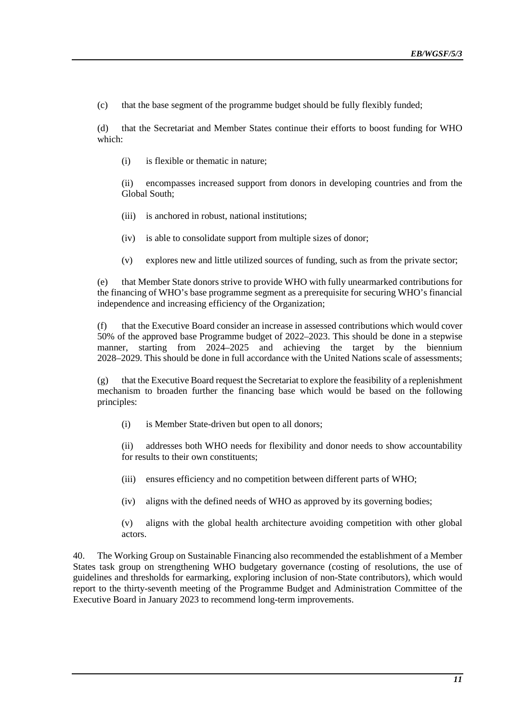(c) that the base segment of the programme budget should be fully flexibly funded;

(d) that the Secretariat and Member States continue their efforts to boost funding for WHO which:

(i) is flexible or thematic in nature;

(ii) encompasses increased support from donors in developing countries and from the Global South;

- (iii) is anchored in robust, national institutions;
- (iv) is able to consolidate support from multiple sizes of donor;
- (v) explores new and little utilized sources of funding, such as from the private sector;

(e) that Member State donors strive to provide WHO with fully unearmarked contributions for the financing of WHO's base programme segment as a prerequisite for securing WHO's financial independence and increasing efficiency of the Organization;

(f) that the Executive Board consider an increase in assessed contributions which would cover 50% of the approved base Programme budget of 2022–2023. This should be done in a stepwise manner, starting from 2024–2025 and achieving the target by the biennium 2028–2029. This should be done in full accordance with the United Nations scale of assessments;

(g) that the Executive Board request the Secretariat to explore the feasibility of a replenishment mechanism to broaden further the financing base which would be based on the following principles:

(i) is Member State-driven but open to all donors;

(ii) addresses both WHO needs for flexibility and donor needs to show accountability for results to their own constituents;

- (iii) ensures efficiency and no competition between different parts of WHO;
- (iv) aligns with the defined needs of WHO as approved by its governing bodies;

(v) aligns with the global health architecture avoiding competition with other global actors.

40. The Working Group on Sustainable Financing also recommended the establishment of a Member States task group on strengthening WHO budgetary governance (costing of resolutions, the use of guidelines and thresholds for earmarking, exploring inclusion of non-State contributors), which would report to the thirty-seventh meeting of the Programme Budget and Administration Committee of the Executive Board in January 2023 to recommend long-term improvements.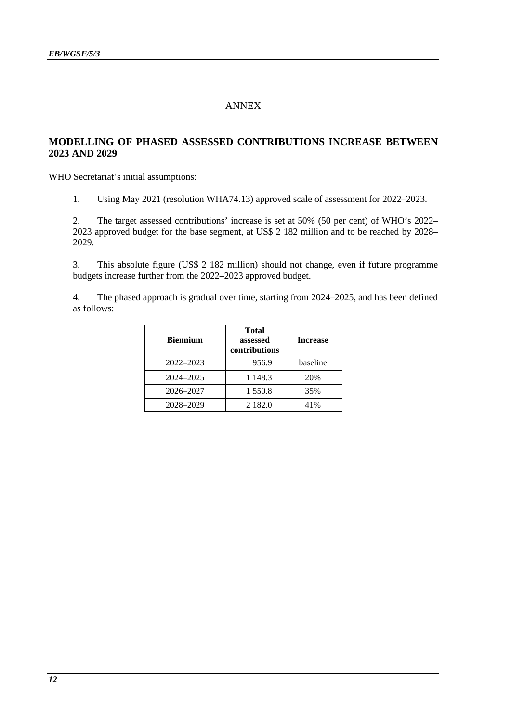# ANNEX

## **MODELLING OF PHASED ASSESSED CONTRIBUTIONS INCREASE BETWEEN 2023 AND 2029**

WHO Secretariat's initial assumptions:

1. Using May 2021 (resolution WHA74.13) approved scale of assessment for 2022–2023.

2. The target assessed contributions' increase is set at 50% (50 per cent) of WHO's 2022– 2023 approved budget for the base segment, at US\$ 2 182 million and to be reached by 2028– 2029.

3. This absolute figure (US\$ 2 182 million) should not change, even if future programme budgets increase further from the 2022–2023 approved budget.

4. The phased approach is gradual over time, starting from 2024–2025, and has been defined as follows:

| <b>Biennium</b> | <b>Total</b><br>assessed<br>contributions | <b>Increase</b> |
|-----------------|-------------------------------------------|-----------------|
| 2022-2023       | 956.9                                     | baseline        |
| 2024-2025       | 1 1 4 8 . 3                               | 20%             |
| 2026-2027       | 1 550.8                                   | 35%             |
| 2028-2029       | 2 1 8 2 .0                                | 41%             |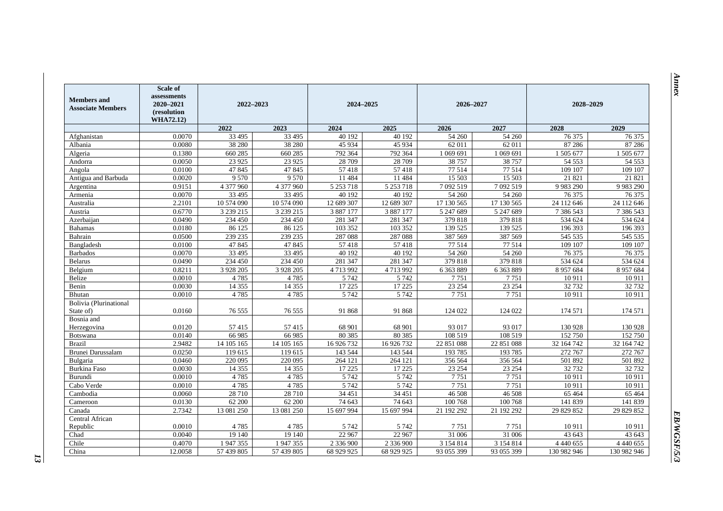| <b>Members</b> and<br><b>Associate Members</b> | <b>Scale of</b><br>assessments<br>2020-2021<br>(resolution<br>WHA72.12) | 2022-2023   | 2024-2025<br>2026-2027 |            |               | 2028-2029     |               |               |               |
|------------------------------------------------|-------------------------------------------------------------------------|-------------|------------------------|------------|---------------|---------------|---------------|---------------|---------------|
|                                                |                                                                         | 2022        | 2023                   | 2024       | 2025          | 2026          | 2027          | 2028          | 2029          |
| Afghanistan                                    | 0.0070                                                                  | 33 4 95     | 33 4 95                | 40 192     | 40 192        | 54 260        | 54 260        | 76 375        | 76 375        |
| Albania                                        | 0.0080                                                                  | 38 280      | 38 280                 | 45 9 34    | 45 9 34       | 62 011        | 62 011        | 87 28 6       | 87 28 6       |
| Algeria                                        | 0.1380                                                                  | 660 285     | 660 285                | 792 364    | 792 364       | 1 069 691     | 1 0 69 691    | 1 505 677     | 1 505 677     |
| Andorra                                        | 0.0050                                                                  | 23 9 25     | 23 9 25                | 28 709     | 28 709        | 38 757        | 38 757        | 54 5 53       | 54 553        |
| Angola                                         | 0.0100                                                                  | 47845       | 47845                  | 57418      | 57418         | 77514         | 77514         | 109 107       | 109 107       |
| Antigua and Barbuda                            | 0.0020                                                                  | 9570        | 9570                   | 11 484     | 11 4 8 4      | 15 503        | 15 503        | 21 821        | 21 821        |
| Argentina                                      | 0.9151                                                                  | 4 377 960   | 4 377 960              | 5 253 718  | 5 2 5 3 7 1 8 | 7 092 519     | 7 092 519     | 9 9 8 3 2 9 0 | 9 9 8 3 2 9 0 |
| Armenia                                        | 0.0070                                                                  | 33 4 95     | 33 4 95                | 40 192     | 40 192        | 54 260        | 54 260        | 76 375        | 76 375        |
| Australia                                      | 2.2101                                                                  | 10 574 090  | 10 574 090             | 12 689 307 | 12 689 307    | 17 130 565    | 17 130 565    | 24 112 646    | 24 112 646    |
| Austria                                        | 0.6770                                                                  | 3 239 215   | 3 239 215              | 3 887 177  | 3 887 177     | 5 247 689     | 5 247 689     | 7 386 543     | 7 386 543     |
| Azerbaijan                                     | 0.0490                                                                  | 234 450     | 234 450                | 281 347    | 281 347       | 379 818       | 379 818       | 534 624       | 534 624       |
| <b>Bahamas</b>                                 | 0.0180                                                                  | 86 125      | 86 125                 | 103 352    | 103 352       | 139 525       | 139 525       | 196 393       | 196 393       |
| Bahrain                                        | 0.0500                                                                  | 239 235     | 239 235                | 287 088    | 287 088       | 387 569       | 387 569       | 545 535       | 545 535       |
| Bangladesh                                     | 0.0100                                                                  | 47845       | 47845                  | 57418      | 57418         | 77 514        | 77 514        | 109 107       | 109 107       |
| <b>Barbados</b>                                | 0.0070                                                                  | 33 4 95     | 33 4 95                | 40 192     | 40 192        | 54 260        | 54 260        | 76 375        | 76 375        |
| <b>Belarus</b>                                 | 0.0490                                                                  | 234 450     | 234 450                | 281 347    | 281 347       | 379818        | 379 818       | 534 624       | 534 624       |
| Belgium                                        | 0.8211                                                                  | 3 9 28 20 5 | 3 9 28 20 5            | 4713992    | 4713992       | 6 3 6 3 8 8 9 | 6 3 6 3 8 8 9 | 8 9 5 7 6 8 4 | 8 9 5 7 6 8 4 |
| Belize                                         | 0.0010                                                                  | 4785        | 4785                   | 5 7 4 2    | 5 7 4 2       | 7751          | 7751          | 10 911        | 10911         |
| Benin                                          | 0.0030                                                                  | 14 3 5 5    | 14 3 5 5               | 17 225     | 17 225        | 23 254        | 23 254        | 32 732        | 32 732        |
| Bhutan                                         | 0.0010                                                                  | 4785        | 4785                   | 5 7 4 2    | 5 7 4 2       | 7751          | 7751          | 10911         | 10 911        |
| Bolivia (Plurinational                         |                                                                         |             |                        |            |               |               |               |               |               |
| State of)                                      | 0.0160                                                                  | 76 555      | 76 555                 | 91 868     | 91 868        | 124 022       | 124 022       | 174 571       | 174 571       |
| Bosnia and                                     |                                                                         |             |                        |            |               |               |               |               |               |
| Herzegovina                                    | 0.0120                                                                  | 57415       | 57415                  | 68 901     | 68 901        | 93 017        | 93 017        | 130 928       | 130 928       |
| Botswana                                       | 0.0140                                                                  | 66 985      | 66 985                 | 80 3 85    | 80 3 85       | 108 519       | 108 519       | 152 750       | 152 750       |
| <b>Brazil</b>                                  | 2.9482                                                                  | 14 105 165  | 14 105 165             | 16 926 732 | 16 926 732    | 22 851 088    | 22 851 088    | 32 164 742    | 32 164 742    |
| Brunei Darussalam                              | 0.0250                                                                  | 119 615     | 119 615                | 143 544    | 143 544       | 193785        | 193785        | 272 767       | 272 767       |
| Bulgaria                                       | 0.0460                                                                  | 220 095     | 220 095                | 264 121    | 264 121       | 356 564       | 356 564       | 501 892       | 501 892       |
| Burkina Faso                                   | 0.0030                                                                  | 14 3 5 5    | 14 3 5 5               | 17 225     | 17 225        | 23 254        | 23 25 4       | 32 7 32       | 32732         |
| Burundi                                        | 0.0010                                                                  | 4785        | 4785                   | 5 7 4 2    | 5 7 4 2       | 7751          | 7751          | 10911         | 10911         |
| Cabo Verde                                     | 0.0010                                                                  | 4785        | 4 7 8 5                | 5 7 4 2    | 5 7 4 2       | 7751          | 7751          | 10 911        | 10911         |
| Cambodia                                       | 0.0060                                                                  | 28 710      | 28 7 10                | 34 451     | 34 451        | 46 508        | 46 508        | 65 4 64       | 65 4 64       |
| Cameroon                                       | 0.0130                                                                  | 62 200      | 62 200                 | 74 643     | 74 643        | 100 768       | 100 768       | 141 839       | 141 839       |
| Canada                                         | 2.7342                                                                  | 13 081 250  | 13 081 250             | 15 697 994 | 15 697 994    | 21 192 292    | 21 192 292    | 29 829 852    | 29 829 852    |
| Central African                                |                                                                         |             |                        |            |               |               |               |               |               |
| Republic                                       | 0.0010                                                                  | 4785        | 4785                   | 5 7 4 2    | 5 7 4 2       | 7 7 5 1       | 7751          | 10 911        | 10911         |
| Chad                                           | 0.0040                                                                  | 19 140      | 19 140                 | 22 967     | 22 967        | 31 006        | 31 006        | 43 643        | 43 643        |
| Chile                                          | 0.4070                                                                  | 1 947 355   | 1947355                | 2 336 900  | 2 336 900     | 3 1 5 4 8 1 4 | 3 1 5 4 8 1 4 | 4 4 4 4 6 5 5 | 4 4 4 4 6 5 5 |
| China                                          | 12.0058                                                                 | 57 439 805  | 57 439 805             | 68 929 925 | 68 929 925    | 93 055 399    | 93 055 399    | 130 982 946   | 130 982 946   |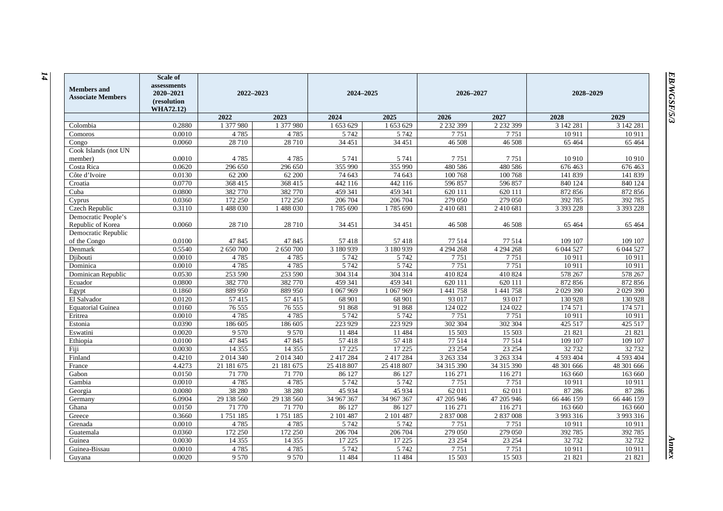| <b>Members</b> and<br><b>Associate Members</b> | <b>Scale of</b><br>assessments<br>2020-2021<br>(resolution<br><b>WHA72.12)</b> | 2022-2023<br>2024-2025 |              |                    | 2026-2027              |               | 2028-2029     |                   |                  |
|------------------------------------------------|--------------------------------------------------------------------------------|------------------------|--------------|--------------------|------------------------|---------------|---------------|-------------------|------------------|
|                                                |                                                                                | 2022                   | 2023         | 2024               | 2025                   | 2026          | 2027          | 2028              | 2029             |
| Colombia                                       | 0.2880                                                                         | 1 377 980              | 1 377 980    | 1 653 629          | $\overline{1}$ 653 629 | 2 2 3 2 3 9 9 | 2 2 3 2 3 9 9 | 3 142 281         | 3 142 281        |
| Comoros                                        | 0.0010                                                                         | 4785                   | 4785         | 5 7 4 2            | 5 7 4 2                | 7751          | 7751          | 10 911            | 10911            |
| Congo                                          | 0.0060                                                                         | 28 710                 | 28 710       | 34 451             | 34 451                 | 46 508        | 46 508        | 65 4 64           | 65 4 64          |
| Cook Islands (not UN                           |                                                                                |                        |              |                    |                        |               |               |                   |                  |
| member)                                        | 0.0010                                                                         | 4785                   | 4785         | 5 7 4 1            | 5 7 4 1                | 7751          | 7751          | 10 910            | 10910            |
| Costa Rica                                     | 0.0620                                                                         | 296 650                | 296 650      | 355 990            | 355 990                | 480 586       | 480 586       | 676463            | 676 463          |
| Côte d'Ivoire                                  | 0.0130                                                                         | 62 200                 | 62 200       | 74 643             | 74 643                 | 100 768       | 100 768       | 141 839           | 141 839          |
| Croatia                                        | 0.0770                                                                         | 368 415                | 368 415      | 442 116            | 442 116                | 596 857       | 596 857       | 840 124           | 840 124          |
| Cuba                                           | 0.0800                                                                         | 382 770                | 382 770      | 459 341            | 459 341                | 620 111       | 620 111       | 872 856           | 872 856          |
| Cyprus                                         | 0.0360                                                                         | 172 250                | 172 250      | 206 704            | 206 704                | 279 050       | 279 050       | 392 785           | 392 785          |
| Czech Republic                                 | 0.3110                                                                         | 1488030                | 1488030      | 1785 690           | 1785 690               | 2410681       | 2410681       | 3 3 9 3 2 2 8     | 3 3 9 3 2 2 8    |
| Democratic People's                            |                                                                                |                        |              |                    |                        |               |               |                   |                  |
| Republic of Korea                              | 0.0060                                                                         | 28710                  | 28 710       | 34 451             | 34 451                 | 46 508        | 46 508        | 65 4 64           | 65 4 64          |
| Democratic Republic                            |                                                                                |                        |              |                    |                        |               |               |                   |                  |
| of the Congo                                   | 0.0100                                                                         | 47845                  | 47845        | 57418              | 57418                  | 77 514        | 77 514        | 109 107           | 109 107          |
| Denmark                                        | 0.5540                                                                         | 2 650 700              | 2 650 700    | 3 180 939          | 3 180 939              | 4 2 9 4 2 6 8 | 4 2 9 4 2 6 8 | 6 0 4 5 27        | 6 044 527        |
| Diibouti                                       | 0.0010<br>0.0010                                                               | 4785<br>4785           | 4785<br>4785 | 5 7 4 2<br>5 7 4 2 | 5 7 4 2<br>5 7 4 2     | 7751<br>7751  | 7751<br>7751  | 10911             | 10911            |
| Dominica<br>Dominican Republic                 | 0.0530                                                                         | 253 590                | 253 590      | 304 314            | 304 314                | 410 824       | 410 824       | 10 911<br>578 267 | 10911<br>578 267 |
| Ecuador                                        | 0.0800                                                                         | 382770                 | 382770       | 459 341            | 459 341                | 620 111       | 620 111       | 872 856           | 872 856          |
| Egypt                                          | 0.1860                                                                         | 889 950                | 889 950      | 1 067 969          | 1 067 969              | 1441758       | 1441758       | 2 029 390         | 2029390          |
| El Salvador                                    | 0.0120                                                                         | 57415                  | 57415        | 68 901             | 68 901                 | 93 017        | 93 017        | 130 928           | 130 928          |
| <b>Equatorial Guinea</b>                       | 0.0160                                                                         | 76 555                 | 76 555       | 91 868             | 91 868                 | 124 022       | 124 022       | 174 571           | 174 571          |
| Eritrea                                        | 0.0010                                                                         | 4785                   | 4785         | 5 7 4 2            | 5 7 4 2                | 7751          | 7751          | 10911             | 10911            |
| Estonia                                        | 0.0390                                                                         | 186 605                | 186 605      | 223 929            | 223 929                | 302 304       | 302 304       | 425 517           | 425 517          |
| Eswatini                                       | 0.0020                                                                         | 9 5 7 0                | 9 5 7 0      | 11 484             | 11 484                 | 15 503        | 15 503        | 21 821            | 21 821           |
| Ethiopia                                       | 0.0100                                                                         | 47845                  | 47845        | 57418              | 57418                  | 77 514        | 77 514        | 109 107           | 109 107          |
| Fiji                                           | 0.0030                                                                         | 14 3 5 5               | 14 3 5 5     | 17 225             | 17 225                 | 23 254        | 23 25 4       | 32 732            | 32 732           |
| Finland                                        | 0.4210                                                                         | 2 0 14 3 40            | 2 014 340    | 2 417 284          | 2 417 284              | 3 263 334     | 3 263 334     | 4 5 9 3 4 0 4     | 4 593 404        |
| France                                         | 4.4273                                                                         | 21 181 675             | 21 181 675   | 25 418 807         | 25 418 807             | 34 315 390    | 34 315 390    | 48 301 666        | 48 301 666       |
| Gabon                                          | 0.0150                                                                         | 71 770                 | 71 770       | 86 127             | 86 127                 | 116 271       | 116 271       | 163 660           | 163 660          |
| Gambia                                         | 0.0010                                                                         | 4785                   | 4785         | 5 7 4 2            | 5 7 4 2                | 7751          | 7751          | 10911             | 10911            |
| Georgia                                        | 0.0080                                                                         | 38 280                 | 38 280       | 45 9 34            | 45 9 34                | 62 011        | 62 011        | 87 28 6           | 87 28 6          |
| Germany                                        | 6.0904                                                                         | 29 138 560             | 29 138 560   | 34 967 367         | 34 967 367             | 47 205 946    | 47 205 946    | 66 446 159        | 66 446 159       |
| Ghana                                          | 0.0150                                                                         | 71 770                 | 71 770       | 86 127             | 86 127                 | 116 271       | 116 271       | 163 660           | 163 660          |
| Greece                                         | 0.3660                                                                         | 1751185                | 1751185      | 2 101 487          | 2 101 487              | 2 837 008     | 2 837 008     | 3 9 9 3 3 1 6     | 3 9 9 3 3 1 6    |
| Grenada                                        | 0.0010                                                                         | 4785                   | 4785         | 5 7 4 2            | 5 7 4 2                | 7751          | 7751          | 10911             | 10911            |
| Guatemala                                      | 0.0360                                                                         | 172 250                | 172 250      | 206 704            | 206 704                | 279 050       | 279 050       | 392 785           | 392 785          |
| Guinea                                         | 0.0030                                                                         | 14 3 5 5               | 14 3 5 5     | 17 225             | 17 225                 | 23 254        | 23 25 4       | 32 732            | 32 732           |
| Guinea-Bissau                                  | 0.0010                                                                         | 4785                   | 4785         | 5 7 4 2            | 5 7 4 2                | 7751          | 7751          | 10 911            | 10911            |
| Guyana                                         | 0.0020                                                                         | 9570                   | 9 5 7 0      | 11 484             | 11 484                 | 15 503        | 15 503        | 21 821            | 21 821           |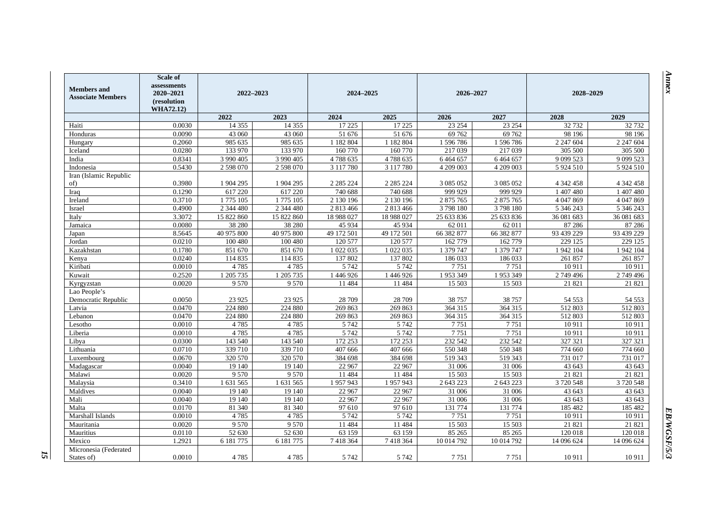| <b>Members</b> and<br><b>Associate Members</b> | Scale of<br>assessments<br>2020-2021<br>(resolution<br><b>WHA72.12</b> ) |                   | 2022-2023         |                     | 2024-2025           |                     | 2026-2027           | 2028-2029           |                   |
|------------------------------------------------|--------------------------------------------------------------------------|-------------------|-------------------|---------------------|---------------------|---------------------|---------------------|---------------------|-------------------|
|                                                |                                                                          | 2022              | 2023              | 2024                | 2025                | 2026                | 2027                | 2028                | 2029              |
| Haiti                                          | 0.0030                                                                   | 14 3 5 5          | 14 3 5 5          | 17 225              | 17 225              | 23 254              | 23 254              | 32732               | 32732             |
| Honduras                                       | 0.0090                                                                   | 43 060            | 43 060            | 51 676              | $\overline{51}$ 676 | 69 762              | 69 762              | 98 196              | 98 196            |
| Hungary                                        | 0.2060                                                                   | 985 635           | 985 635           | 1 182 804           | 1 182 804           | 1596786             | 1596786             | 2 2 4 7 6 0 4       | 2 2 4 7 6 0 4     |
| Iceland                                        | 0.0280                                                                   | 133 970           | 133 970           | 160 770             | 160 770             | 217 039             | 217 039             | 305 500             | 305 500           |
| India                                          | 0.8341                                                                   | 3 990 405         | 3 990 405         | 4788635             | 4788635             | 6464657             | 6 4 6 4 6 5 7       | 9 0 9 5 23          | 9 0 9 5 23        |
| Indonesia                                      | 0.5430                                                                   | 2 598 070         | 2 598 070         | 3 117 780           | 3 117 780           | 4 209 003           | 4 209 003           | 5 9 24 5 10         | 5 9 24 5 10       |
| Iran (Islamic Republic<br>of)                  | 0.3980                                                                   | 1 904 295         | 1 904 295         | 2 2 8 5 2 2 4       | 2 2 8 5 2 2 4       | 3 0 8 5 0 5 2       | 3 0 8 5 0 5 2       | 4 342 458           | 4 342 458         |
| Iraq                                           | 0.1290                                                                   | 617 220           | 617 220           | 740 688             | 740 688             | 999 929             | 999 929             | 1 407 480           | 1 407 480         |
| Ireland                                        | 0.3710                                                                   | 1775 105          | 1775 105          | 2 130 196           | 2 130 196           | 2 875 765           | 2 875 765           | 4 047 869           | 4 047 869         |
| Israel                                         | 0.4900                                                                   | 2 344 480         | 2 344 480         | 2 813 466           | 2 813 466           | 3798180             | 3798180             | 5 346 243           | 5 346 243         |
| Italy                                          | 3.3072                                                                   | 15 822 860        | 15 822 860        | 18 988 027          | 18 988 027          | 25 633 836          | 25 633 836          | 36 081 683          | 36 081 683        |
| Jamaica                                        | 0.0080                                                                   | 38 280            | 38 280            | 45 934              | 45 9 34             | 62 011              | 62 011              | 87 28 6             | 87 28 6           |
| Japan                                          | 8.5645                                                                   | 40 975 800        | 40 975 800        | 49 172 501          | 49 172 501          | 66 382 877          | 66 382 877          | 93 439 229          | 93 439 229        |
| Jordan                                         | 0.0210                                                                   | 100 480           | 100 480           | 120 577             | 120 577             | 162 779             | 162 779             | 229 125             | 229 125           |
| Kazakhstan                                     | 0.1780                                                                   | 851 670           | 851 670           | 1 022 035           | 1 022 035           | 1 379 747           | 1 379 747           | 1942 104            | 1942 104          |
| Kenya                                          | 0.0240                                                                   | 114 835           | 114 835           | 137 802             | 137 802             | 186 033             | 186 033             | 261 857             | 261 857           |
| Kiribati                                       | 0.0010                                                                   | 4785              | 4785              | 5 7 4 2             | 5 7 4 2             | 7751                | 7751                | 10911               | 10911             |
| Kuwait                                         | 0.2520                                                                   | 1 205 735         | 1 205 735         | 1446926             | 1 446 926           | 1953349             | 1953349             | 2749496             | 2749496           |
| Kyrgyzstan                                     | 0.0020                                                                   | 9 5 7 0           | 9570              | 11 4 8 4            | 11 484              | 15 503              | 15 503              | 21 821              | 21 821            |
| Lao People's                                   |                                                                          |                   |                   |                     |                     |                     |                     |                     |                   |
| Democratic Republic                            | 0.0050                                                                   | 23 9 25           | 23 9 25           | 28 709              | 28 709              | 38 757              | 38 757              | 54 5 53             | 54 5 53           |
| Latvia                                         | 0.0470                                                                   | 224 880           | 224 880           | 269 863             | 269 863             | 364 315             | 364 315             | 512803              | 512803            |
| Lebanon                                        | 0.0470                                                                   | 224 880           | 224 880           | 269 863             | 269 863             | 364 315             | 364 315             | 512 803             | 512 803           |
| Lesotho                                        | 0.0010                                                                   | 4785              | 4785              | 5 7 4 2             | 5 7 4 2             | 7751                | 7751                | 10 911              | 10911             |
| Liberia                                        | 0.0010                                                                   | 4785              | 4785              | 5 7 4 2             | 5 7 4 2             | 7751                | 7751                | 10911               | 10911             |
| Libya                                          | 0.0300                                                                   | 143 540           | 143 540           | 172 253             | 172 253             | 232 542             | 232 542             | 327 321             | 327 321           |
| Lithuania                                      | 0.0710                                                                   | 339 710           | 339 710           | 407 666             | 407 666             | 550 348             | 550 348             | 774 660             | 774 660           |
| Luxembourg                                     | 0.0670<br>0.0040                                                         | 320 570           | 320 570<br>19 140 | 384 698<br>22 967   | 384 698<br>22 967   | 519 343<br>31 006   | 519 343<br>31 006   | 731 017<br>43 643   | 731 017<br>43 643 |
| Madagascar                                     | 0.0020                                                                   | 19 140<br>9 5 7 0 | 9570              |                     |                     |                     |                     |                     |                   |
| Malawi<br>Malaysia                             | 0.3410                                                                   | 1 631 565         | 1 631 565         | 11 4 8 4<br>1957943 | 11 4 8 4<br>1957943 | 15 503<br>2 643 223 | 15 503<br>2 643 223 | 21 821<br>3 720 548 | 21 821<br>3720548 |
| Maldives                                       | 0.0040                                                                   | 19 140            | 19 140            | 22 967              | 22 967              | 31 006              | 31 006              | 43 643              | 43 643            |
| Mali                                           | 0.0040                                                                   | 19 140            | 19 140            | 22 967              | 22 967              | 31 006              | 31 006              | 43 643              | 43 643            |
| Malta                                          | 0.0170                                                                   | 81 340            | 81 340            | 97 610              | 97 610              | 131 774             | 131 774             | 185 482             | 185 482           |
| Marshall Islands                               | 0.0010                                                                   | 4785              | 4785              | 5 7 4 2             | 5 7 4 2             | 7751                | 7751                | 10 911              | 10911             |
| Mauritania                                     | 0.0020                                                                   | 9 5 7 0           | 9 5 7 0           | 11 4 8 4            | 11 4 8 4            | 15 503              | 15 503              | 21 821              | 21 821            |
| Mauritius                                      | 0.0110                                                                   | 52 630            | 52 630            | 63 159              | 63 159              | 85 265              | 85 265              | 120 018             | 120 018           |
| Mexico                                         | 1.2921                                                                   | 6 181 775         | 6 181 775         | 7418364             | 7418364             | 10 014 792          | 10 014 792          | 14 096 624          | 14 096 624        |
| Micronesia (Federated                          |                                                                          |                   |                   |                     |                     |                     |                     |                     |                   |
| States of)                                     | 0.0010                                                                   | 4785              | 4785              | 5 7 4 2             | 5 7 4 2             | 7751                | 7751                | 10911               | 10911             |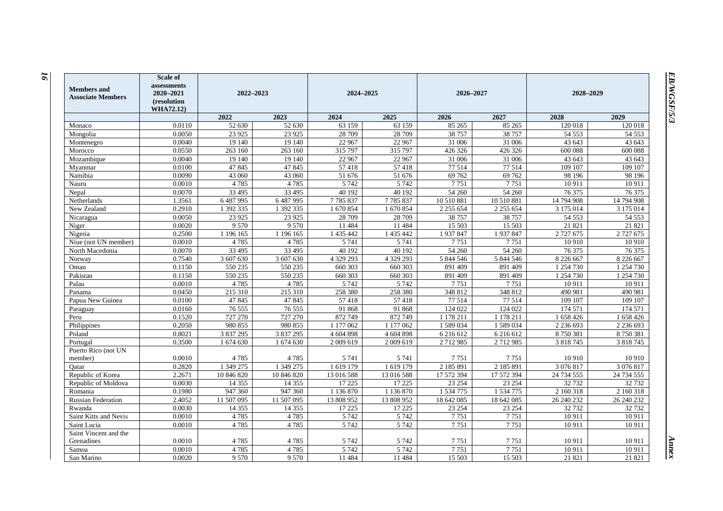| <b>Members</b> and<br><b>Associate Members</b> | <b>Scale of</b><br>assessments<br>2020-2021<br>(resolution<br><b>WHA72.12)</b> | 2022-2023         |                   | 2024-2025          |                    | 2026-2027            |                      | 2028-2029               |                         |
|------------------------------------------------|--------------------------------------------------------------------------------|-------------------|-------------------|--------------------|--------------------|----------------------|----------------------|-------------------------|-------------------------|
|                                                |                                                                                | 2022              | 2023              | 2024               | 2025               | 2026                 | 2027                 | 2028                    | 2029                    |
| Monaco                                         | 0.0110                                                                         | 52 630            | 52 630            | 63 159             | 63 159             | 85 265               | 85 265               | 120 018                 | 120 018                 |
| Mongolia                                       | 0.0050                                                                         | 23 9 25           | 23 9 25           | 28 709             | 28 709             | 38 757               | 38 757               | 54 553                  | 54 5 53                 |
| Montenegro                                     | 0.0040                                                                         | 19 140            | 19 140            | 22 967             | 22 967             | 31 006               | 31 006               | 43 643                  | 43 643                  |
| Morocco                                        | 0.0550                                                                         | 263 160           | 263 160           | 315 797            | 315 797            | 426 326              | 426 326              | 600 088                 | 600 088                 |
| Mozambique                                     | 0.0040                                                                         | 19 140            | 19 140            | 22 967             | 22 967             | 31 006               | 31 006               | 43 643                  | 43 643                  |
| Mvanmar                                        | 0.0100                                                                         | 47845             | 47845             | 57418              | 57418              | 77 514               | 77 514               | 109 107                 | 109 107                 |
| Namibia                                        | 0.0090                                                                         | 43 060            | 43 060            | 51 676             | 51 676             | 69 762               | 69 762               | 98 196                  | 98 196                  |
| Nauru                                          | 0.0010                                                                         | 4785              | 4785              | 5 7 4 2            | 5 7 4 2            | 7751                 | 7751                 | 10 911                  | 10911                   |
| Nepal                                          | 0.0070                                                                         | 33 4 95           | 33 4 95           | 40 192             | 40 192             | 54 260               | 54 260               | 76 375                  | 76 375                  |
| Netherlands                                    | 1.3561                                                                         | 6 487 995         | 6487995           | 7785837            | 7785837            | 10 510 881           | 10 510 881           | 14 794 908              | 14 794 908              |
| New Zealand                                    | 0.2910                                                                         | 1 392 335         | 1 392 335         | 1 670 854          | 1 670 854          | 2 2 5 5 6 5 4        | 2 2 5 5 6 5 4        | 3 175 014               | 3 175 014               |
| Nicaragua                                      | 0.0050                                                                         | 23 9 25           | 23 9 25           | 28 709             | 28 709             | 38 757               | 38 757               | 54 553                  | 54 553                  |
| Niger                                          | 0.0020                                                                         | 9 5 7 0           | 9570              | 11 484             | 11 484             | 15 503               | 15 503               | 21821                   | 21821                   |
| Nigeria                                        | 0.2500                                                                         | 1 196 165         | 1 196 165         | 1 435 442          | 1 435 442          | 1937847              | 1937847              | 2 7 2 7 6 7 5           | 2 7 2 7 6 7 5           |
| Niue (not UN member)                           | 0.0010                                                                         | 4785              | 4785              | 5 7 4 1            | 5 7 4 1            | 7751                 | 7751                 | 10 910                  | 10 9 10                 |
| North Macedonia                                | 0.0070                                                                         | 33 4 95           | 33 4 95           | 40 192             | 40 192             | 54 260               | 54 260               | 76 375                  | 76 375                  |
| Norway                                         | 0.7540                                                                         | 3 607 630         | 3 607 630         | 4 329 293          | 4 329 293          | 5 844 546            | 5 844 546            | 8 2 2 6 6 6 7           | 8 2 2 6 6 6 7           |
| Oman                                           | 0.1150                                                                         | 550 235           | 550 235           | 660 303            | 660 303            | 891 409              | 891 409              | 1 254 730               | 1 254 730               |
| Pakistan                                       | 0.1150                                                                         | 550 235           | 550 235           | 660 303            | 660 303            | 891 409              | 891 409              | 1 254 730               | 1 254 730               |
| Palau                                          | 0.0010                                                                         | 4785              | 4785              | 5 7 4 2            | 5 7 4 2            | 7751                 | 7751                 | 10 911                  | 10911                   |
| Panama                                         | 0.0450                                                                         | 215 310           | 215 310           | 258 380            | 258 380            | 348 812              | 348 812              | 490 981                 | 490 981                 |
| Papua New Guinea                               | 0.0100                                                                         | 47845             | 47845             | 57418              | 57418              | 77514                | 77 514               | 109 107                 | 109 107                 |
| Paraguay                                       | 0.0160                                                                         | 76 555            | 76 555            | 91 868             | 91 868             | 124 022              | 124 022              | 174571                  | 174 571                 |
| Peru                                           | 0.1520                                                                         | 727 270           | 727 270           | 872 749            | 872 749            | 1 178 211            | 1 178 211            | 1 658 426               | 1 658 426               |
| Philippines                                    | 0.2050                                                                         | 980 855           | 980 855           | 1 177 062          | 1 177 062          | 1589034              | 1589034              | 2 2 3 6 6 9 3           | 2 2 3 6 6 9 3           |
| Poland                                         | 0.8021                                                                         | 3 837 295         | 3 837 295         | 4 604 898          | 4 604 898          | 6 2 1 6 6 1 2        | 6 2 1 6 6 1 2        | 8750381                 | 8750381                 |
| Portugal                                       | 0.3500                                                                         | 1 674 630         | 1 674 630         | 2 009 619          | 2 009 619          | 2712985              | 2712985              | 3 8 1 8 7 4 5           | 3 8 1 8 7 4 5           |
| Puerto Rico (not UN                            |                                                                                |                   |                   |                    |                    |                      |                      |                         |                         |
| member)                                        | 0.0010<br>0.2820                                                               | 4785<br>1 349 275 | 4785<br>1 349 275 | 5 7 4 1<br>1619179 | 5 7 4 1<br>1619179 | 7751<br>2 185 891    | 7751<br>2 185 891    | 10 910<br>3 0 7 6 8 1 7 | 10 910<br>3 0 7 6 8 1 7 |
| Oatar<br>Republic of Korea                     | 2.2671                                                                         | 10 846 820        | 10 846 820        | 13 016 588         | 13 016 588         | 17 572 394           | 17 572 394           | 24 734 555              | 24 734 555              |
|                                                | 0.0030                                                                         | 14 3 5 5          | 14 3 5 5          | 17 225             | 17 225             | 23 254               | 23 254               | 32732                   | 32 732                  |
| Republic of Moldova<br>Romania                 | 0.1980                                                                         | 947 360           | 947 360           | 1 136 870          | 1 136 870          |                      | 1 534 775            | 2 160 318               | 2 160 318               |
|                                                | 2.4052                                                                         | 11 507 095        | 11 507 095        | 13 808 952         | 13 808 952         | 1 534 775            |                      | 26 240 232              | 26 240 232              |
| <b>Russian Federation</b>                      | 0.0030                                                                         |                   |                   | 17 225             | 17 225             | 18 642 085<br>23 254 | 18 642 085<br>23 254 | 32 732                  | 32 732                  |
| Rwanda<br>Saint Kitts and Nevis                | 0.0010                                                                         | 14 3 5 5<br>4785  | 14 3 5 5<br>4785  | 5 7 4 2            | 5 7 4 2            | 7751                 | 7751                 | 10911                   | 10911                   |
| Saint Lucia                                    | 0.0010                                                                         | 4785              | 4785              | 5 7 4 2            | 5 7 4 2            | 7751                 | 7751                 | 10 911                  | 10911                   |
| Saint Vincent and the                          |                                                                                |                   |                   |                    |                    |                      |                      |                         |                         |
| Grenadines                                     | 0.0010                                                                         | 4785              | 4785              | 5 7 4 2            | 5 7 4 2            | 7751                 | 7751                 | 10911                   | 10911                   |
| Samoa                                          | 0.0010                                                                         | 4785              | 4785              | 5 7 4 2            | 5 7 4 2            | 7751                 | 7751                 | 10911                   | 10911                   |
| San Marino                                     | 0.0020                                                                         | 9 5 7 0           | 9 5 7 0           | 11 484             | 11 484             | 15 503               | 15 503               | 21 821                  | 21 821                  |
|                                                |                                                                                |                   |                   |                    |                    |                      |                      |                         |                         |

*Annex*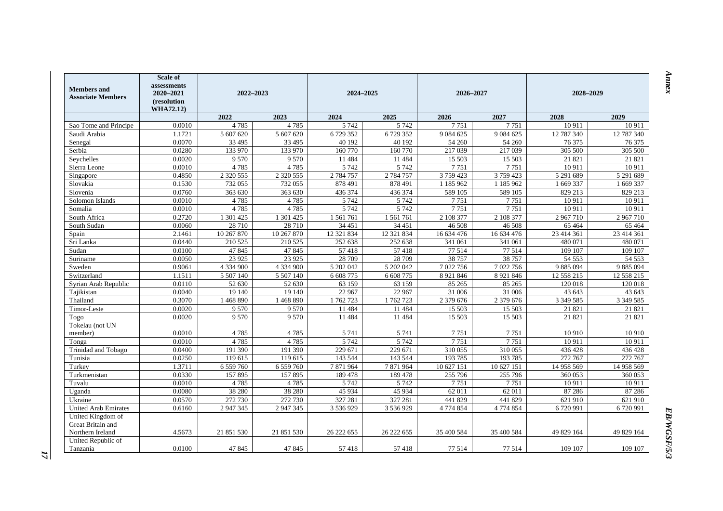| <b>Members</b> and<br><b>Associate Members</b> | <b>Scale of</b><br>assessments<br>2020-2021<br>(resolution<br><b>WHA72.12)</b> |               | 2022-2023              |            | 2024-2025<br>2026-2027 |               | 2028-2029     |               |               |
|------------------------------------------------|--------------------------------------------------------------------------------|---------------|------------------------|------------|------------------------|---------------|---------------|---------------|---------------|
|                                                |                                                                                | 2022          | 2023                   | 2024       | 2025                   | 2026          | 2027          | 2028          | 2029          |
| Sao Tome and Principe                          | 0.0010                                                                         | 4785          | 4785                   | 5 7 4 2    | 5 7 4 2                | 7751          | 7751          | 10 911        | 10911         |
| Saudi Arabia                                   | 1.1721                                                                         | 5 607 620     | $\overline{5}$ 607 620 | 6729352    | 6729352                | 9 0 8 4 6 2 5 | 9 0 8 4 6 2 5 | 12 787 340    | 12 787 340    |
| Senegal                                        | 0.0070                                                                         | 33 4 95       | 33 4 95                | 40 192     | 40 192                 | 54 260        | 54 260        | 76 375        | 76 375        |
| Serbia                                         | 0.0280                                                                         | 133 970       | 133 970                | 160 770    | 160 770                | 217 039       | 217 039       | 305 500       | 305 500       |
| Seychelles                                     | 0.0020                                                                         | 9570          | 9570                   | 11 4 8 4   | 11 4 8 4               | 15 503        | 15 503        | 21 821        | 21 821        |
| Sierra Leone                                   | 0.0010                                                                         | 4785          | 4785                   | 5 7 4 2    | 5 7 4 2                | 7751          | 7751          | 10911         | 10911         |
| Singapore                                      | 0.4850                                                                         | 2 3 2 0 5 5 5 | 2 3 2 0 5 5 5          | 2 784 757  | 2 784 757              | 3 759 423     | 3759423       | 5 291 689     | 5 291 689     |
| Slovakia                                       | 0.1530                                                                         | 732 055       | 732 055                | 878 491    | 878 491                | 1 185 962     | 1 185 962     | 1 669 337     | 1 669 337     |
| Slovenia                                       | 0.0760                                                                         | 363 630       | 363 630                | 436 374    | 436 374                | 589 105       | 589 105       | 829 213       | 829 213       |
| Solomon Islands                                | 0.0010                                                                         | 4785          | 4785                   | 5 7 4 2    | 5 7 4 2                | 7751          | 7751          | 10 911        | 10911         |
| Somalia                                        | 0.0010                                                                         | 4785          | 4785                   | 5 7 4 2    | 5 7 4 2                | 7751          | 7751          | 10911         | 10911         |
| South Africa                                   | 0.2720                                                                         | 1 301 425     | 1 301 425              | 1561761    | 1 561 761              | 2 108 377     | 2 108 377     | 2967710       | 2967710       |
| South Sudan                                    | 0.0060                                                                         | 28 710        | 28 710                 | 34 451     | 34 451                 | 46 508        | 46 508        | 65 4 64       | 65 4 64       |
| Spain                                          | 2.1461                                                                         | 10 267 870    | 10 267 870             | 12 321 834 | 12 321 834             | 16 634 476    | 16 634 476    | 23 414 361    | 23 414 361    |
| Sri Lanka                                      | 0.0440                                                                         | 210 525       | 210 525                | 252 638    | 252 638                | 341 061       | 341 061       | 480 071       | 480 071       |
| Sudan                                          | 0.0100                                                                         | 47845         | 47 845                 | 57418      | 57418                  | 77 514        | 77 514        | 109 107       | 109 107       |
| Suriname                                       | 0.0050                                                                         | 23 9 25       | 23 9 25                | 28 709     | 28 709                 | 38 757        | 38 757        | 54 5 53       | 54 5 53       |
| Sweden                                         | 0.9061                                                                         | 4 3 3 4 9 0 0 | 4 3 3 4 9 0 0          | 5 202 042  | 5 202 042              | 7 022 756     | 7 022 756     | 9 885 094     | 9 8 8 5 0 9 4 |
| Switzerland                                    | 1.1511                                                                         | 5 507 140     | 5 507 140              | 6 608 775  | 6 608 775              | 8 9 21 8 4 6  | 8 9 21 8 46   | 12 558 215    | 12 558 215    |
| Syrian Arab Republic                           | 0.0110                                                                         | 52 630        | 52 630                 | 63 159     | 63 159                 | 85 265        | 85 265        | 120 018       | 120 018       |
| Tajikistan                                     | 0.0040                                                                         | 19 14 0       | 19 140                 | 22 967     | 22 967                 | 31 006        | 31 006        | 43 643        | 43 643        |
| Thailand                                       | 0.3070                                                                         | 1468890       | 1468890                | 1762723    | 1762723                | 2 379 676     | 2 379 676     | 3 3 4 5 5 8 5 | 3 3 4 5 5 8 5 |
| Timor-Leste                                    | 0.0020                                                                         | 9 5 7 0       | 9 5 7 0                | 11 484     | 11 484                 | 15 503        | 15 503        | 21 821        | 21 821        |
| Togo                                           | 0.0020                                                                         | 9 5 7 0       | 9 5 7 0                | 11 4 8 4   | 11 484                 | 15 503        | 15 503        | 21 821        | 21 821        |
| Tokelau (not UN                                |                                                                                |               |                        |            |                        |               |               |               |               |
| member)                                        | 0.0010                                                                         | 4785          | 4785                   | 5 7 4 1    | 5 7 4 1                | 7751          | 7751          | 10 910        | 10 910        |
| Tonga                                          | 0.0010                                                                         | 4785          | 4785                   | 5 7 4 2    | 5 7 4 2                | 7751          | 7751          | 10 911        | 10911         |
| Trinidad and Tobago                            | 0.0400                                                                         | 191 390       | 191 390                | 229 671    | 229 671                | 310 055       | 310 055       | 436 428       | 436 428       |
| Tunisia                                        | 0.0250                                                                         | 119 615       | 119 615                | 143 544    | 143 544                | 193785        | 193785        | 272 767       | 272 767       |
| Turkey                                         | 1.3711                                                                         | 6 559 760     | 6 559 760              | 7871964    | 7871964                | 10 627 151    | 10 627 151    | 14 958 569    | 14 958 569    |
| Turkmenistan                                   | 0.0330                                                                         | 157895        | 157895                 | 189 478    | 189 478                | 255 796       | 255 796       | 360 053       | 360 053       |
| Tuvalu                                         | 0.0010                                                                         | 4785          | 4785                   | 5 7 4 2    | 5 7 4 2                | 7751          | 7751          | 10911         | 10911         |
| Uganda                                         | 0.0080                                                                         | 38 280        | 38 280                 | 45 9 34    | 45 9 34                | 62 011        | 62 011        | 87 28 6       | 87 28 6       |
| Ukraine                                        | 0.0570                                                                         | 272 730       | 272 730                | 327 281    | 327 281                | 441829        | 441 829       | 621 910       | 621 910       |
| <b>United Arab Emirates</b>                    | 0.6160                                                                         | 2 947 345     | 2 947 345              | 3 536 929  | 3 536 929              | 4 774 854     | 4 774 854     | 6720991       | 6720991       |
| United Kingdom of<br>Great Britain and         |                                                                                |               |                        |            |                        |               |               |               |               |
| Northern Ireland                               | 4.5673                                                                         | 21 851 530    | 21 851 530             | 26 222 655 | 26 222 655             | 35 400 584    | 35 400 584    | 49 829 164    | 49 829 164    |
| United Republic of<br>Tanzania                 | 0.0100                                                                         | 47 845        | 47 845                 | 57418      | 57418                  | 77 514        | 77 514        | 109 107       | 109 107       |